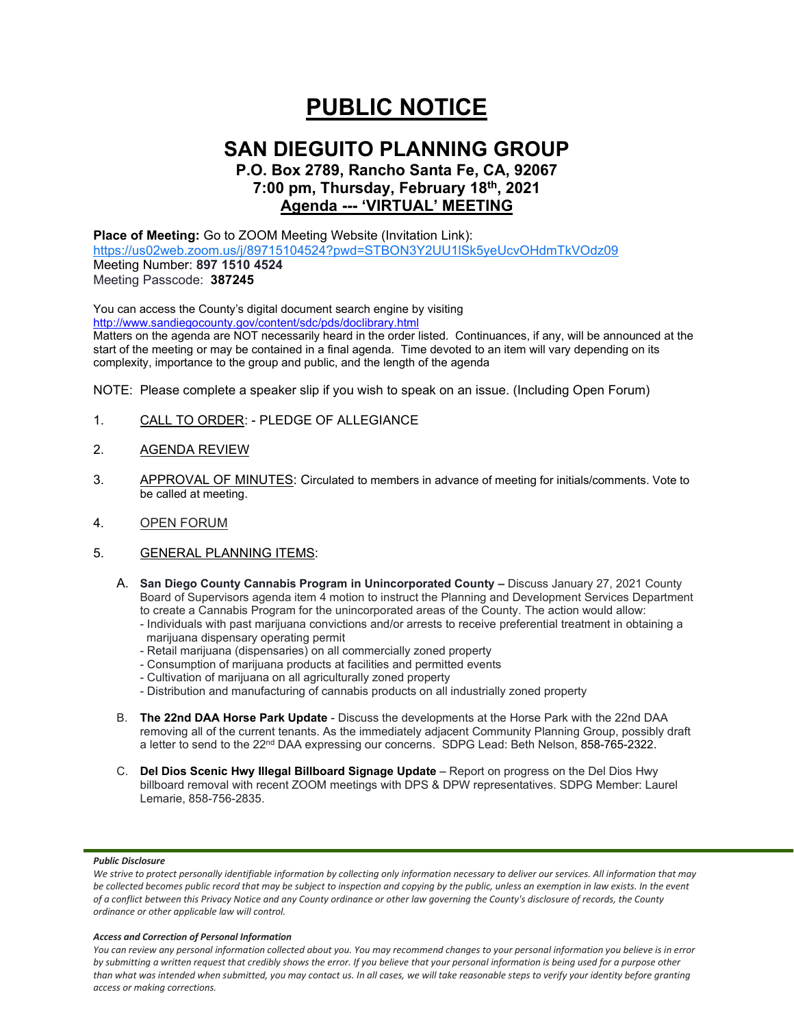# **PUBLIC NOTICE**

## **SAN DIEGUITO PLANNING GROUP**

## **P.O. Box 2789, Rancho Santa Fe, CA, 92067 7:00 pm, Thursday, February 18th, 2021 Agenda --- 'VIRTUAL' MEETING**

## **Place of Meeting:** Go to ZOOM Meeting Website (Invitation Link):

<https://us02web.zoom.us/j/89715104524?pwd=STBON3Y2UU1lSk5yeUcvOHdmTkVOdz09> Meeting Number: **897 1510 4524** Meeting Passcode: **387245**

You can access the County's digital document search engine by visiting <http://www.sandiegocounty.gov/content/sdc/pds/doclibrary.html>

Matters on the agenda are NOT necessarily heard in the order listed. Continuances, if any, will be announced at the start of the meeting or may be contained in a final agenda. Time devoted to an item will vary depending on its complexity, importance to the group and public, and the length of the agenda

NOTE: Please complete a speaker slip if you wish to speak on an issue. (Including Open Forum)

- 1. CALL TO ORDER: PLEDGE OF ALLEGIANCE
- 2. AGENDA REVIEW
- 3. APPROVAL OF MINUTES: Circulated to members in advance of meeting for initials/comments. Vote to be called at meeting.
- 4. OPEN FORUM
- 5. GENERAL PLANNING ITEMS:
	- A. **San Diego County Cannabis Program in Unincorporated County –** Discuss January 27, 2021 County Board of Supervisors agenda item 4 motion to instruct the Planning and Development Services Department to create a Cannabis Program for the unincorporated areas of the County. The action would allow:
		- Individuals with past marijuana convictions and/or arrests to receive preferential treatment in obtaining a marijuana dispensary operating permit
		- Retail marijuana (dispensaries) on all commercially zoned property
		- Consumption of marijuana products at facilities and permitted events
		- Cultivation of marijuana on all agriculturally zoned property
		- Distribution and manufacturing of cannabis products on all industrially zoned property
	- B. **The 22nd DAA Horse Park Update** Discuss the developments at the Horse Park with the 22nd DAA removing all of the current tenants. As the immediately adjacent Community Planning Group, possibly draft a letter to send to the 22<sup>nd</sup> DAA expressing our concerns. SDPG Lead: Beth Nelson, 858-765-2322.
	- C. **Del Dios Scenic Hwy Illegal Billboard Signage Update** Report on progress on the Del Dios Hwy billboard removal with recent ZOOM meetings with DPS & DPW representatives. SDPG Member: Laurel Lemarie, 858-756-2835.

#### *Public Disclosure*

#### *Access and Correction of Personal Information*

*You can review any personal information collected about you. You may recommend changes to your personal information you believe is in error by submitting a written request that credibly shows the error. If you believe that your personal information is being used for a purpose other than what was intended when submitted, you may contact us. In all cases, we will take reasonable steps to verify your identity before granting access or making corrections.*

We strive to protect personally identifiable information by collecting only information necessary to deliver our services. All information that may *be collected becomes public record that may be subject to inspection and copying by the public, unless an exemption in law exists. In the event of a conflict between this Privacy Notice and any County ordinance or other law governing the County's disclosure of records, the County ordinance or other applicable law will control.*